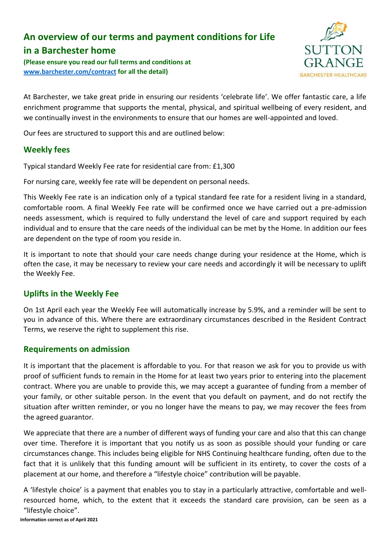# **An overview of our terms and payment conditions for Life**

# **in a Barchester home**

**(Please ensure you read our full terms and conditions at [www.barchester.com/contract](http://www.barchester.com/contract) for all the detail)**



At Barchester, we take great pride in ensuring our residents 'celebrate life'. We offer fantastic care, a life enrichment programme that supports the mental, physical, and spiritual wellbeing of every resident, and we continually invest in the environments to ensure that our homes are well-appointed and loved.

Our fees are structured to support this and are outlined below:

# **Weekly fees**

Typical standard Weekly Fee rate for residential care from: £1,300

For nursing care, weekly fee rate will be dependent on personal needs.

This Weekly Fee rate is an indication only of a typical standard fee rate for a resident living in a standard, comfortable room. A final Weekly Fee rate will be confirmed once we have carried out a pre-admission needs assessment, which is required to fully understand the level of care and support required by each individual and to ensure that the care needs of the individual can be met by the Home. In addition our fees are dependent on the type of room you reside in.

It is important to note that should your care needs change during your residence at the Home, which is often the case, it may be necessary to review your care needs and accordingly it will be necessary to uplift the Weekly Fee.

# **Uplifts in the Weekly Fee**

On 1st April each year the Weekly Fee will automatically increase by 5.9%, and a reminder will be sent to you in advance of this. Where there are extraordinary circumstances described in the Resident Contract Terms, we reserve the right to supplement this rise.

# **Requirements on admission**

It is important that the placement is affordable to you. For that reason we ask for you to provide us with proof of sufficient funds to remain in the Home for at least two years prior to entering into the placement contract. Where you are unable to provide this, we may accept a guarantee of funding from a member of your family, or other suitable person. In the event that you default on payment, and do not rectify the situation after written reminder, or you no longer have the means to pay, we may recover the fees from the agreed guarantor.

We appreciate that there are a number of different ways of funding your care and also that this can change over time. Therefore it is important that you notify us as soon as possible should your funding or care circumstances change. This includes being eligible for NHS Continuing healthcare funding, often due to the fact that it is unlikely that this funding amount will be sufficient in its entirety, to cover the costs of a placement at our home, and therefore a "lifestyle choice" contribution will be payable.

A 'lifestyle choice' is a payment that enables you to stay in a particularly attractive, comfortable and wellresourced home, which, to the extent that it exceeds the standard care provision, can be seen as a "lifestyle choice".

**Information correct as of April 2021**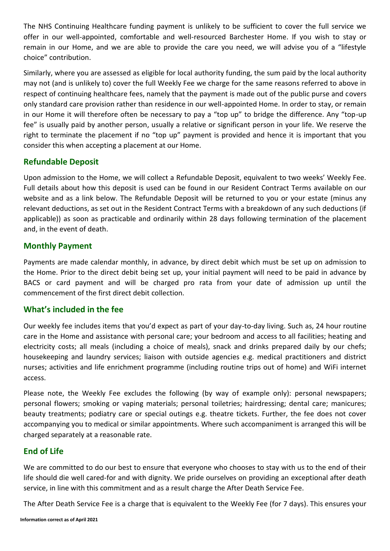The NHS Continuing Healthcare funding payment is unlikely to be sufficient to cover the full service we offer in our well-appointed, comfortable and well-resourced Barchester Home. If you wish to stay or remain in our Home, and we are able to provide the care you need, we will advise you of a "lifestyle choice" contribution.

Similarly, where you are assessed as eligible for local authority funding, the sum paid by the local authority may not (and is unlikely to) cover the full Weekly Fee we charge for the same reasons referred to above in respect of continuing healthcare fees, namely that the payment is made out of the public purse and covers only standard care provision rather than residence in our well-appointed Home. In order to stay, or remain in our Home it will therefore often be necessary to pay a "top up" to bridge the difference. Any "top-up fee" is usually paid by another person, usually a relative or significant person in your life. We reserve the right to terminate the placement if no "top up" payment is provided and hence it is important that you consider this when accepting a placement at our Home.

#### **Refundable Deposit**

Upon admission to the Home, we will collect a Refundable Deposit, equivalent to two weeks' Weekly Fee. Full details about how this deposit is used can be found in our Resident Contract Terms available on our website and as a link below. The Refundable Deposit will be returned to you or your estate (minus any relevant deductions, as set out in the Resident Contract Terms with a breakdown of any such deductions (if applicable)) as soon as practicable and ordinarily within 28 days following termination of the placement and, in the event of death.

#### **Monthly Payment**

Payments are made calendar monthly, in advance, by direct debit which must be set up on admission to the Home. Prior to the direct debit being set up, your initial payment will need to be paid in advance by BACS or card payment and will be charged pro rata from your date of admission up until the commencement of the first direct debit collection.

#### **What's included in the fee**

Our weekly fee includes items that you'd expect as part of your day-to-day living. Such as, 24 hour routine care in the Home and assistance with personal care; your bedroom and access to all facilities; heating and electricity costs; all meals (including a choice of meals), snack and drinks prepared daily by our chefs; housekeeping and laundry services; liaison with outside agencies e.g. medical practitioners and district nurses; activities and life enrichment programme (including routine trips out of home) and WiFi internet access.

Please note, the Weekly Fee excludes the following (by way of example only): personal newspapers; personal flowers; smoking or vaping materials; personal toiletries; hairdressing; dental care; manicures; beauty treatments; podiatry care or special outings e.g. theatre tickets. Further, the fee does not cover accompanying you to medical or similar appointments. Where such accompaniment is arranged this will be charged separately at a reasonable rate.

# **End of Life**

We are committed to do our best to ensure that everyone who chooses to stay with us to the end of their life should die well cared-for and with dignity. We pride ourselves on providing an exceptional after death service, in line with this commitment and as a result charge the After Death Service Fee.

The After Death Service Fee is a charge that is equivalent to the Weekly Fee (for 7 days). This ensures your